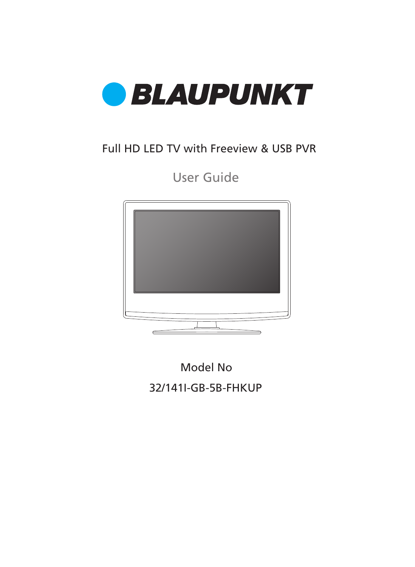

### Full HD LED TV with Freeview & USB PVR

User Guide



32/141I-GB-5B-FHKUP Model No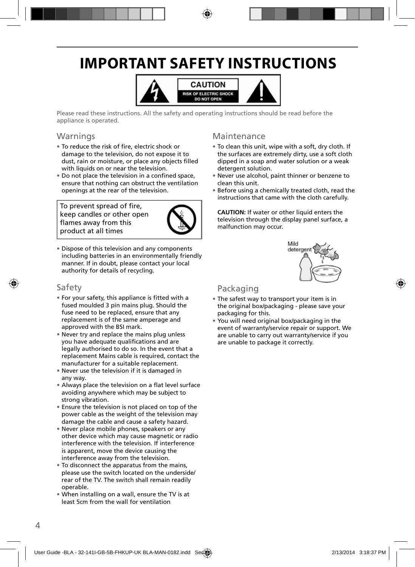## **IMPORTANT SAFETY INSTRUCTIONS**



Please read these instructions. All the safety and operating instructions should be read before the appliance is operated.

#### **Warnings**

- To reduce the risk of fire, electric shock or damage to the television, do not expose it to dust, rain or moisture, or place any objects filled with liquids on or near the television.
- Do not place the television in a confined space, ensure that nothing can obstruct the ventilation openings at the rear of the television.

To prevent spread of fire, keep candles or other open flames away from this product at all times



• Dispose of this television and any components including batteries in an environmentally friendly manner. If in doubt, please contact your local authority for details of recycling.

#### Safety

- For your safety, this appliance is fi tted with a fused moulded 3 pin mains plug. Should the fuse need to be replaced, ensure that any replacement is of the same amperage and approved with the BSI mark.
- Never try and replace the mains plug unless you have adequate qualifications and are legally authorised to do so. In the event that a replacement Mains cable is required, contact the manufacturer for a suitable replacement.
- Never use the television if it is damaged in any way.
- Always place the television on a flat level surface avoiding anywhere which may be subject to strong vibration.
- Ensure the television is not placed on top of the power cable as the weight of the television may damage the cable and cause a safety hazard.
- Never place mobile phones, speakers or any other device which may cause magnetic or radio interference with the television. If interference is apparent, move the device causing the interference away from the television.
- To disconnect the apparatus from the mains, please use the switch located on the underside/ rear of the TV. The switch shall remain readily operable.
- When installing on a wall, ensure the TV is at least 5cm from the wall for ventilation

#### Maintenance

- To clean this unit, wipe with a soft, dry cloth. If the surfaces are extremely dirty, use a soft cloth dipped in a soap and water solution or a weak detergent solution.
- Never use alcohol, paint thinner or benzene to clean this unit.
- Before using a chemically treated cloth, read the instructions that came with the cloth carefully.

**CAUTION:** If water or other liquid enters the television through the display panel surface, a malfunction may occur.



#### Packaging

- The safest way to transport your item is in the original box/packaging - please save your packaging for this.
- You will need original box/packaging in the event of warranty/service repair or support. We are unable to carry out warranty/service if you are unable to package it correctly.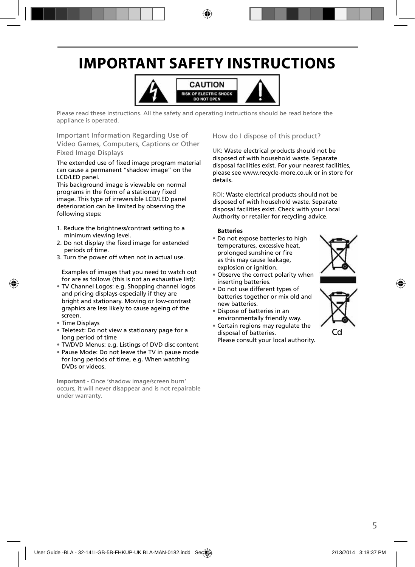## **IMPORTANT SAFETY INSTRUCTIONS**



Please read these instructions. All the safety and operating instructions should be read before the appliance is operated.

Important Information Regarding Use of Video Games, Computers, Captions or Other Fixed Image Displays

The extended use of fixed image program material can cause a permanent "shadow image" on the LCD/LED panel.

This background image is viewable on normal programs in the form of a stationary fixed image. This type of irreversible LCD/LED panel deterioration can be limited by observing the following steps:

- 1. Reduce the brightness/contrast setting to a minimum viewing level.
- 2. Do not display the fixed image for extended periods of time.
- 3. Turn the power off when not in actual use.

Examples of images that you need to watch out for are as follows (this is not an exhaustive list):

- TV Channel Logos: e.g. Shopping channel logos and pricing displays-especially if they are bright and stationary. Moving or low-contrast graphics are less likely to cause ageing of the screen.
- Time Displays
- Teletext: Do not view a stationary page for a long period of time
- TV/DVD Menus: e.g. Listings of DVD disc content
- Pause Mode: Do not leave the TV in pause mode for long periods of time, e.g. When watching DVDs or videos.

**Important** - Once 'shadow image/screen burn' occurs, it will never disappear and is not repairable under warranty.

How do I dispose of this product?

UK: Waste electrical products should not be disposed of with household waste. Separate disposal facilities exist. For your nearest facilities, please see www.recycle-more.co.uk or in store for details.

ROI: Waste electrical products should not be disposed of with household waste. Separate disposal facilities exist. Check with your Local Authority or retailer for recycling advice.

#### **Batteries**

- Do not expose batteries to high temperatures, excessive heat, prolonged sunshine or fire as this may cause leakage, explosion or ignition.
- Observe the correct polarity when inserting batteries.
- Do not use different types of batteries together or mix old and new batteries.
- Dispose of batteries in an environmentally friendly way.
- Certain regions may regulate the disposal of batteries. Please consult your local authority.



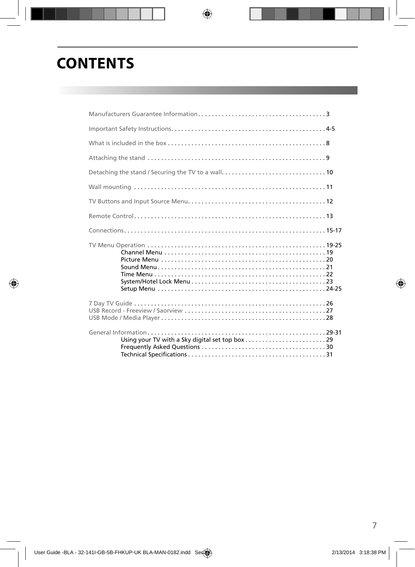## **CONTENTS**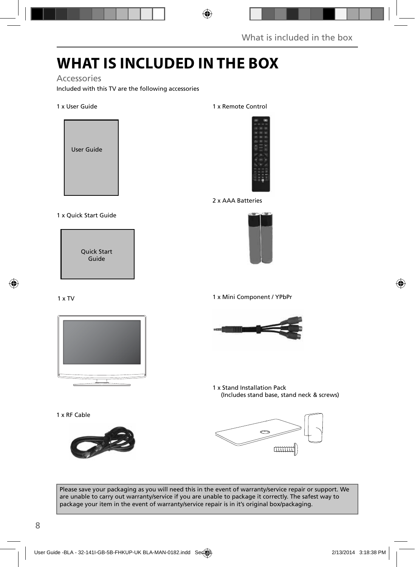## **WHAT IS INCLUDED IN THE BOX**

#### Accessories

Included with this TV are the following accessories

#### 1 x User Guide



#### 1 x Quick Start Guide

Quick Start Guide

#### 1 x TV



1 x RF Cable



#### 1 x Remote Control



2 x AAA Batteries



1 x Mini Component / YPbPr



1 x Stand Installation Pack (Includes stand base, stand neck & screws)



Please save your packaging as you will need this in the event of warranty/service repair or support. We are unable to carry out warranty/service if you are unable to package it correctly. The safest way to package your item in the event of warranty/service repair is in it's original box/packaging.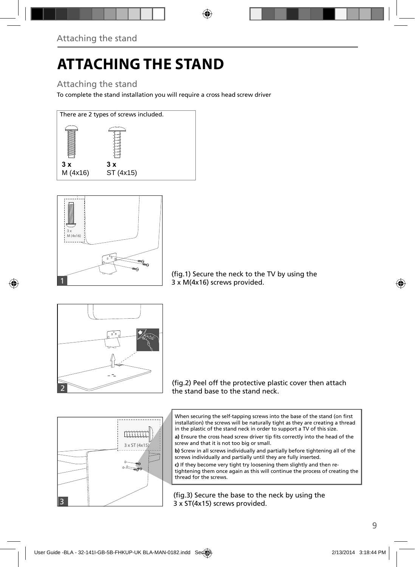# **ATTACHING THE STAND**

### Attaching the stand

To complete the stand installation you will require a cross head screw driver





(fig.1) Secure the neck to the TV by using the 3 x M(4x16) screws provided.



(fig.2) Peel off the protective plastic cover then attach the stand base to the stand neck.



a) Ensure the cross head screw driver tip fits correctly into the head of the screw and that it is not too big or small.

**b)** Screw in all screws individually and partially before tightening all of the screws individually and partially until they are fully inserted.

**c)** If they become very tight try loosening them slightly and then retightening them once again as this will continue the process of creating the thread for the screws.

(fig.3) Secure the base to the neck by using the 3 x ST(4x15) screws provided.

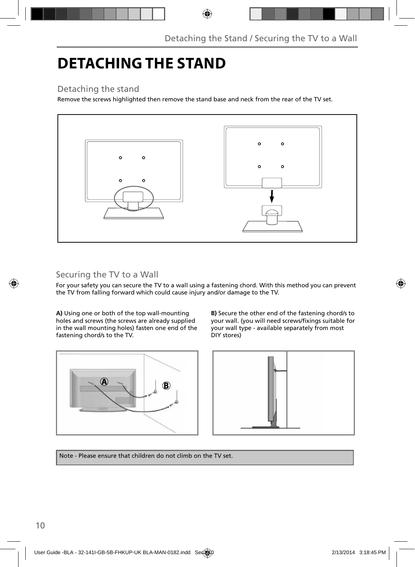## **DETACHING THE STAND**

#### Detaching the stand

Remove the screws highlighted then remove the stand base and neck from the rear of the TV set.



### Securing the TV to a Wall

For your safety you can secure the TV to a wall using a fastening chord. With this method you can prevent the TV from falling forward which could cause injury and/or damage to the TV.

**A)** Using one or both of the top wall-mounting holes and screws (the screws are already supplied in the wall mounting holes) fasten one end of the fastening chord/s to the TV.







Note - Please ensure that children do not climb on the TV set.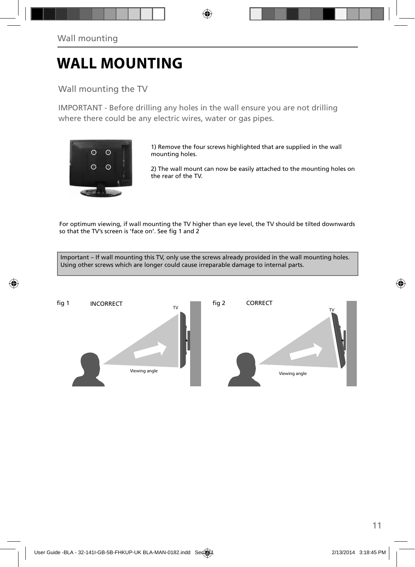## **WALL MOUNTING**

#### Wall mounting the TV

IMPORTANT - Before drilling any holes in the wall ensure you are not drilling where there could be any electric wires, water or gas pipes.



1) Remove the four screws highlighted that are supplied in the wall mounting holes.

2) The wall mount can now be easily attached to the mounting holes on the rear of the TV.

For optimum viewing, if wall mounting the TV higher than eye level, the TV should be tilted downwards so that the TV's screen is 'face on'. See fig 1 and 2

Important – If wall mounting this TV, only use the screws already provided in the wall mounting holes. Using other screws which are longer could cause irreparable damage to internal parts.

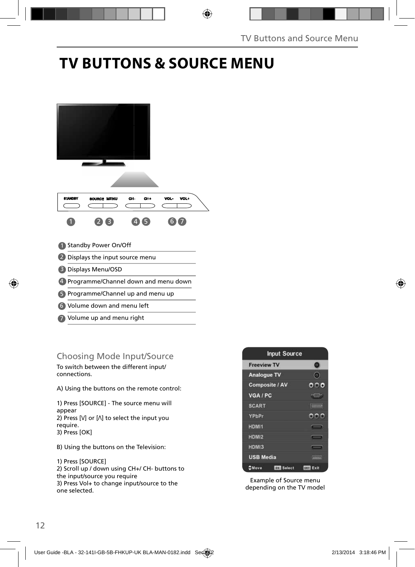### **TV BUTTONS & SOURCE MENU**



#### Choosing Mode Input/Source

To switch between the different input/ connections.

A) Using the buttons on the remote control:

1) Press [SOURCE] - The source menu will appear 2) Press  $[V]$  or  $[\Lambda]$  to select the input you require. 3) Press [OK]

B) Using the buttons on the Television:

#### 1) Press [SOURCE]

2) Scroll up / down using CH+/ CH- buttons to the input/source you require 3) Press Vol+ to change input/source to the one selected.



Example of Source menu depending on the TV model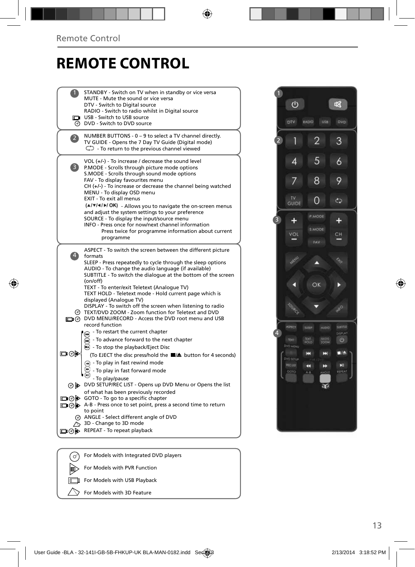### **REMOTE CONTROL**

|     | STANDBY - Switch on TV when in standby or vice versa<br>MUTE - Mute the sound or vice versa<br>DTV - Switch to Digital source<br>RADIO - Switch to radio whilst in Digital source<br>USB - Switch to USB source<br>DVD - Switch to DVD source                                                                                                                                                                                                                                                                                                                                                               |
|-----|-------------------------------------------------------------------------------------------------------------------------------------------------------------------------------------------------------------------------------------------------------------------------------------------------------------------------------------------------------------------------------------------------------------------------------------------------------------------------------------------------------------------------------------------------------------------------------------------------------------|
|     | NUMBER BUTTONS - 0 - 9 to select a TV channel directly.<br>TV GUIDE - Opens the 7 Day TV Guide (Digital mode)<br>$\mathbb{C}$ To return to the previous channel viewed                                                                                                                                                                                                                                                                                                                                                                                                                                      |
| 3)  | VOL (+/-) - To increase / decrease the sound level<br>P.MODE - Scrolls through picture mode options<br>S.MODE - Scrolls through sound mode options<br>FAV - To display favourites menu<br>$CH (+/-)$ - To increase or decrease the channel being watched<br>MENU - To display OSD menu<br>EXIT - To exit all menus<br>(A/V/4/M/OK) - Allows you to navigate the on-screen menus<br>and adjust the system settings to your preference<br>SOURCE - To display the input/source menu<br>INFO - Press once for now/next channel information<br>Press twice for programme information about current<br>programme |
|     | ASPECT - To switch the screen between the different picture<br>formats<br>SLEEP - Press repeatedly to cycle through the sleep options<br>AUDIO - To change the audio language (if available)<br>SUBTITLE - To switch the dialogue at the bottom of the screen<br>(on/off)<br>TEXT - To enter/exit Teletext (Analogue TV)<br>TEXT HOLD - Teletext mode - Hold current page which is<br>displayed (Analogue TV)                                                                                                                                                                                               |
|     | DISPLAY - To switch off the screen when listening to radio<br>TEXT/DVD ZOOM - Zoom function for Teletext and DVD<br>DIG DVD MENU/RECORD - Access the DVD root menu and USB<br>record function                                                                                                                                                                                                                                                                                                                                                                                                               |
| య⊚⊡ | - To restart the current chapter<br>- To advance forward to the next chapter<br>$\left( \blacksquare \right)$<br>$\odot$ - To stop the playback/Eject Disc<br>(To EJECT the disc press/hold the ■▲ button for 4 seconds)<br>To play in fast rewind mode<br>- To play in fast forward mode<br>- To play/pause                                                                                                                                                                                                                                                                                                |
|     | ⊙ DVD SETUP/REC LIST - Opens up DVD Menu or Opens the list                                                                                                                                                                                                                                                                                                                                                                                                                                                                                                                                                  |
|     | of what has been previously recorded<br>□ ⊙ > GOTO - To go to a specific chapter<br>□ ⊙ D A-B - Press once to set point, press a second time to return<br>to point<br>ANGLE - Select different angle of DVD<br>3D - Change to 3D mode<br>REPEAT - To repeat playback                                                                                                                                                                                                                                                                                                                                        |
| ⊉ଡ⊯ |                                                                                                                                                                                                                                                                                                                                                                                                                                                                                                                                                                                                             |
| ♂   | For Models with Integrated DVD players                                                                                                                                                                                                                                                                                                                                                                                                                                                                                                                                                                      |
|     |                                                                                                                                                                                                                                                                                                                                                                                                                                                                                                                                                                                                             |



**For Models with USB Playback**  $\searrow$  For Models with 3D Feature

顺  $\sqrt{2}$ 

For Models with PVR Function

13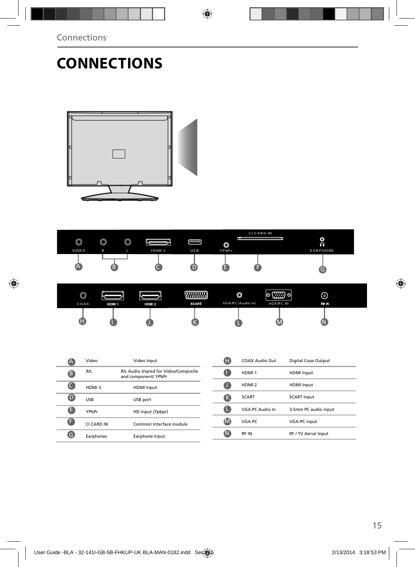## **CONNECTIONS**





| $\circledcirc$<br>COAX | HDM 1 | HDM <sub>2</sub> | <b>SCART</b> | O<br>VGA/PC(Audio in) | <b>CONTRACTOR</b><br>O<br>VGA/PC IN | $\odot$<br>RF IN |  |
|------------------------|-------|------------------|--------------|-----------------------|-------------------------------------|------------------|--|
| ω                      |       |                  |              |                       |                                     |                  |  |

|   | Video      | Video Input                                                  |
|---|------------|--------------------------------------------------------------|
| B | R/L        | R/L Audio shared for Video/Composite<br>and component/ YPbPr |
|   | HDMI3      | <b>HDMI</b> Input                                            |
| D | <b>USB</b> | USB port                                                     |
| E | YPbPr      | HD input (Ypbpr)                                             |
| F | CI CARD IN | Common Interface module                                      |
|   | Earphones  | Earphone Input                                               |

|   | COAX Audio Out    | Digital Coax Output  |
|---|-------------------|----------------------|
|   | HDMI <sub>1</sub> | <b>HDMI</b> Input    |
|   | HDMI <sub>2</sub> | <b>HDMI</b> Input    |
| ĸ | <b>SCART</b>      | <b>SCART Input</b>   |
|   | VGA PC Audio In   | 3.5mm PC audio input |
|   | VGA PC            | <b>VGA-PC</b> input  |
|   | <b>RFIN</b>       | RF / TV Aerial Input |
|   |                   |                      |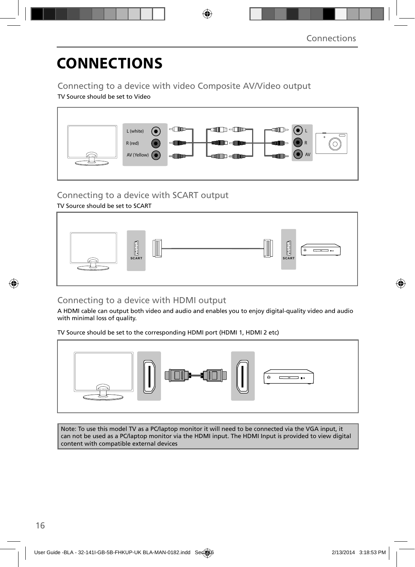## **CONNECTIONS**

Connecting to a device with video Composite AV/Video output

TV Source should be set to Video



Connecting to a device with SCART output

TV Source should be set to SCART



#### Connecting to a device with HDMI output

A HDMI cable can output both video and audio and enables you to enjoy digital-quality video and audio with minimal loss of quality.

TV Source should be set to the corresponding HDMI port (HDMI 1, HDMI 2 etc)



Note: To use this model TV as a PC/laptop monitor it will need to be connected via the VGA input, it can not be used as a PC/laptop monitor via the HDMI input. The HDMI Input is provided to view digital content with compatible external devices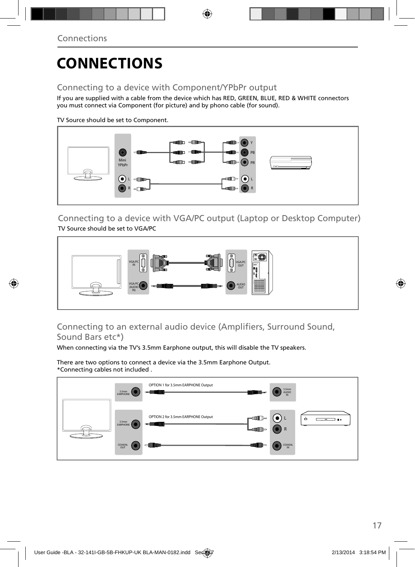## **CONNECTIONS**

#### Connecting to a device with Component/YPbPr output

If you are supplied with a cable from the device which has RED, GREEN, BLUE, RED & WHITE connectors you must connect via Component (for picture) and by phono cable (for sound).

TV Source should be set to Component.



Connecting to a device with VGA/PC output (Laptop or Desktop Computer) TV Source should be set to VGA/PC



#### Connecting to an external audio device (Amplifiers, Surround Sound, Sound Bars etc\*)

When connecting via the TV's 3.5mm Earphone output, this will disable the TV speakers.

There are two options to connect a device via the 3.5mm Earphone Output. \*Connecting cables not included .

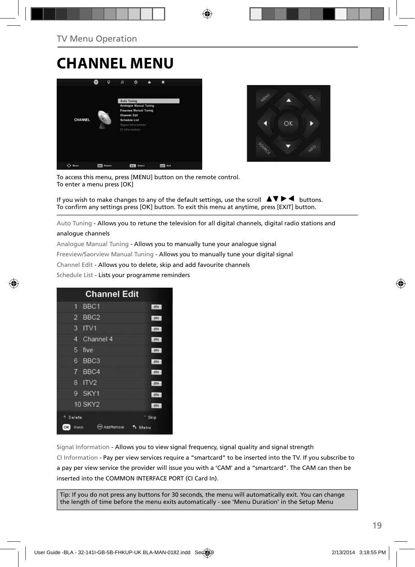### **CHANNEL MENU**





To access this menu, press [MENU] button on the remote control. To enter a menu press [OK]

If you wish to make changes to any of the default settings, use the scroll  $\Box \blacktriangledown \blacktriangleright \blacktriangleleft$  buttons. To confirm any settings press [OK] button. To exit this menu at anytime, press [EXIT] button.

Auto Tuning - Allows you to retune the television for all digital channels, digital radio stations and

#### analogue channels

Analogue Manual Tuning - Allows you to manually tune your analogue signal

Freeview/Saorview Manual Tuning - Allows you to manually tune your digital signal

Channel Edit - Allows you to delete, skip and add favourite channels

Schedule List - Lists your programme reminders



Signal Information - Allows you to view signal frequency, signal quality and signal strength CI Information - Pay per view services require a "smartcard" to be inserted into the TV. If you subscribe to a pay per view service the provider will issue you with a 'CAM' and a "smartcard". The CAM can then be inserted into the COMMON INTERFACE PORT (CI Card In).

Tip: If you do not press any buttons for 30 seconds, the menu will automatically exit. You can change the length of time before the menu exits automatically - see 'Menu Duration' in the Setup Menu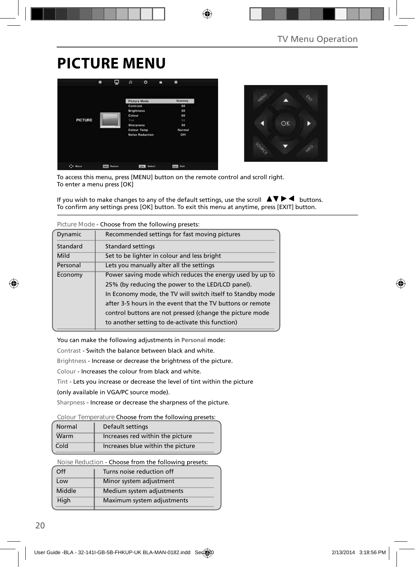### **PICTURE MENU**





To access this menu, press [MENU] button on the remote control and scroll right. To enter a menu press [OK]

If you wish to make changes to any of the default settings, use the scroll  $\blacktriangle \blacktriangledown \blacktriangleright \blacktriangleleft$  buttons. To confirm any settings press [OK] button. To exit this menu at anytime, press [EXIT] button.

| Dynamic  | Recommended settings for fast moving pictures              |
|----------|------------------------------------------------------------|
| Standard | Standard settings                                          |
| Mild     | Set to be lighter in colour and less bright                |
| Personal | Lets you manually alter all the settings                   |
| Economy  | Power saving mode which reduces the energy used by up to   |
|          | 25% (by reducing the power to the LED/LCD panel).          |
|          | In Economy mode, the TV will switch itself to Standby mode |
|          | after 3-5 hours in the event that the TV buttons or remote |
|          | control buttons are not pressed (change the picture mode   |
|          | to another setting to de-activate this function)           |

**Picture Mode** - Choose from the following presets:

You can make the following adjustments in **Personal** mode:

Contrast - Switch the balance between black and white.

Brightness - Increase or decrease the brightness of the picture.

Colour - Increases the colour from black and white.

Tint - Lets you increase or decrease the level of tint within the picture

(only available in VGA/PC source mode).

Sharpness - Increase or decrease the sharpness of the picture.

#### **Colour Temperature** Choose from the following presets:

| Normal | Default settings                  |
|--------|-----------------------------------|
| Warm   | Increases red within the picture  |
| Cold   | Increases blue within the picture |

**Noise Reduction** - Choose from the following presets:

| Off    | Turns noise reduction off  |
|--------|----------------------------|
| Low    | Minor system adjustment    |
| Middle | Medium system adjustments  |
| High   | Maximum system adjustments |
|        |                            |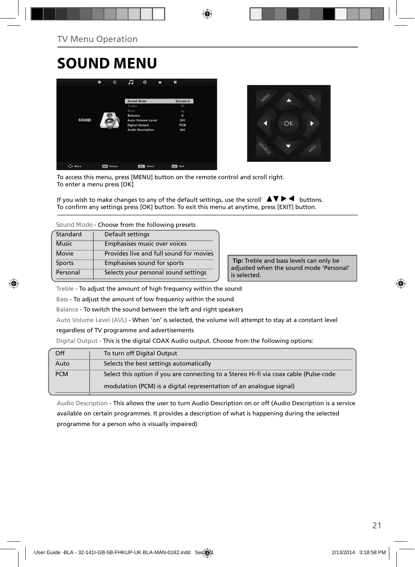## **SOUND MENU**





To access this menu, press [MENU] button on the remote control and scroll right. To enter a menu press [OK]

If you wish to make changes to any of the default settings, use the scroll  $\Box \blacktriangledown \blacktriangleright \blacktriangleleft$  buttons. To confirm any settings press [OK] button. To exit this menu at anytime, press [EXIT] button.

**Sound Mode** - Choose from the following presets

| Standard     | Default settings                        |
|--------------|-----------------------------------------|
| <b>Music</b> | Emphasises music over voices            |
| Movie        | Provides live and full sound for movies |
| Sports       | Emphasises sound for sports             |
| Personal     | Selects your personal sound settings    |

 **Tip:** Treble and bass levels can only be adjusted when the sound mode 'Personal' is selected.

Treble - To adjust the amount of high frequency within the sound

Bass - To adjust the amount of low frequency within the sound

Balance - To switch the sound between the left and right speakers

Auto Volume Level (AVL) - When 'on' is selected, the volume will attempt to stay at a constant level

regardless of TV programme and advertisements

Digital Output - This is the digital COAX Audio output. Choose from the following options:

| Off        | To turn off Digital Output                                                            |
|------------|---------------------------------------------------------------------------------------|
| Auto       | Selects the best settings automatically                                               |
| <b>PCM</b> | Select this option if you are connecting to a Stereo Hi-fi via coax cable (Pulse-code |
|            | modulation (PCM) is a digital representation of an analogue signal)                   |

Audio Description - This allows the user to turn Audio Description on or off (Audio Description is a service available on certain programmes. It provides a description of what is happening during the selected programme for a person who is visually impaired)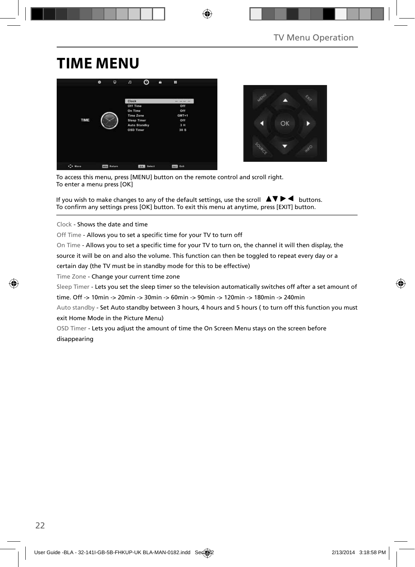## **TIME MENU**





To access this menu, press [MENU] button on the remote control and scroll right. To enter a menu press [OK]

If you wish to make changes to any of the default settings, use the scroll  $\blacktriangle \blacktriangledown \blacktriangleright \blacktriangleleft$  buttons. To confirm any settings press [OK] button. To exit this menu at anytime, press [EXIT] button.

Clock - Shows the date and time

Off Time - Allows you to set a specific time for your TV to turn off

On Time - Allows you to set a specific time for your TV to turn on, the channel it will then display, the

source it will be on and also the volume. This function can then be toggled to repeat every day or a

certain day (the TV must be in standby mode for this to be effective)

Time Zone - Change your current time zone

Sleep Timer - Lets you set the sleep timer so the television automatically switches off after a set amount of

time. Off -> 10min -> 20min -> 30min -> 60min -> 90min -> 120min -> 180min -> 240min

Auto standby - Set Auto standby between 3 hours, 4 hours and 5 hours ( to turn off this function you must exit Home Mode in the Picture Menu)

OSD Timer - Lets you adjust the amount of time the On Screen Menu stays on the screen before disappearing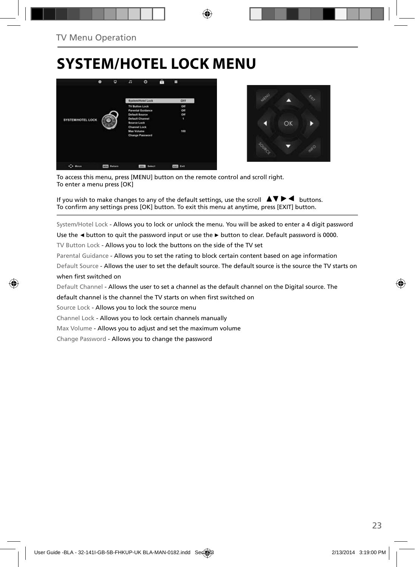## **SYSTEM/HOTEL LOCK MENU**





To access this menu, press [MENU] button on the remote control and scroll right. To enter a menu press [OK]

If you wish to make changes to any of the default settings, use the scroll  $\blacktriangle \blacktriangledown \blacktriangleright \blacktriangleleft$  buttons. To confirm any settings press [OK] button. To exit this menu at anytime, press [EXIT] button.

System/Hotel Lock - Allows you to lock or unlock the menu. You will be asked to enter a 4 digit password

Use the **◄** button to quit the password input or use the **►** button to clear. Default password is 0000.

TV Button Lock - Allows you to lock the buttons on the side of the TV set

Parental Guidance - Allows you to set the rating to block certain content based on age information

Default Source - Allows the user to set the default source. The default source is the source the TV starts on when first switched on

Default Channel - Allows the user to set a channel as the default channel on the Digital source. The

default channel is the channel the TV starts on when first switched on

Source Lock - Allows you to lock the source menu

Channel Lock - Allows you to lock certain channels manually

Max Volume - Allows you to adjust and set the maximum volume

Change Password - Allows you to change the password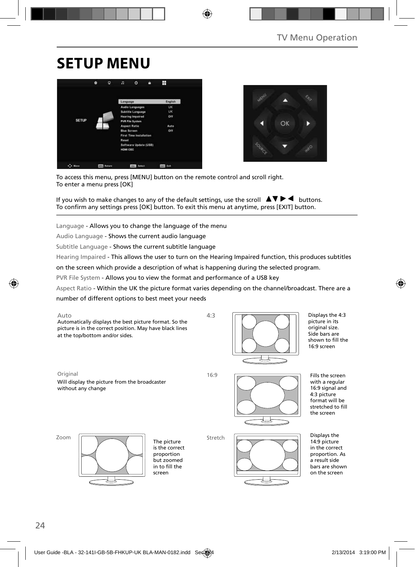## **SETUP MENU**





To access this menu, press [MENU] button on the remote control and scroll right. To enter a menu press [OK]

If you wish to make changes to any of the default settings, use the scroll  $\blacktriangle \blacktriangledown \blacktriangleright \blacktriangleleft$  buttons. To confirm any settings press [OK] button. To exit this menu at anytime, press [EXIT] button.

Language - Allows you to change the language of the menu

Audio Language - Shows the current audio language

Subtitle Language - Shows the current subtitle language

Hearing Impaired - This allows the user to turn on the Hearing Impaired function, this produces subtitles

on the screen which provide a description of what is happening during the selected program.

PVR File System - Allows you to view the format and performance of a USB key

Aspect Ratio - Within the UK the picture format varies depending on the channel/broadcast. There are a

number of different options to best meet your needs



Displays the 4:3 picture in its original size. Side bars are shown to fill the 16:9 screen

Original 16:9

Will display the picture from the broadcaster without any change



Fills the screen with a regular 16:9 signal and 4:3 picture format will be stretched to fill the screen

Zoom



The picture is the correct proportion but zoomed in to fill the screen

Stretch



Displays the 14:9 picture in the correct proportion. As a result side bars are shown on the screen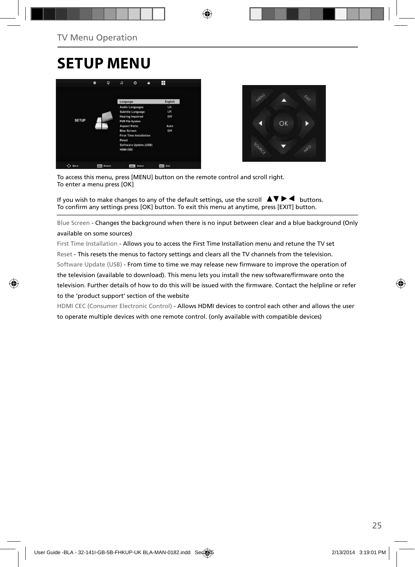### **SETUP MENU**





To access this menu, press [MENU] button on the remote control and scroll right. To enter a menu press [OK]

If you wish to make changes to any of the default settings, use the scroll  $\blacktriangle \blacktriangledown \blacktriangleright \blacktriangleleft$  buttons. To confirm any settings press [OK] button. To exit this menu at anytime, press [EXIT] button.

Blue Screen - Changes the background when there is no input between clear and a blue background (Only available on some sources)

First Time Installation - Allows you to access the First Time Installation menu and retune the TV set Reset - This resets the menus to factory settings and clears all the TV channels from the television. Software Update (USB) - From time to time we may release new firmware to improve the operation of the television (available to download). This menu lets you install the new software/firmware onto the television. Further details of how to do this will be issued with the firmware. Contact the helpline or refer to the 'product support' section of the website

HDMI CEC (Consumer Electronic Control) - Allows HDMI devices to control each other and allows the user to operate multiple devices with one remote control. (only available with compatible devices)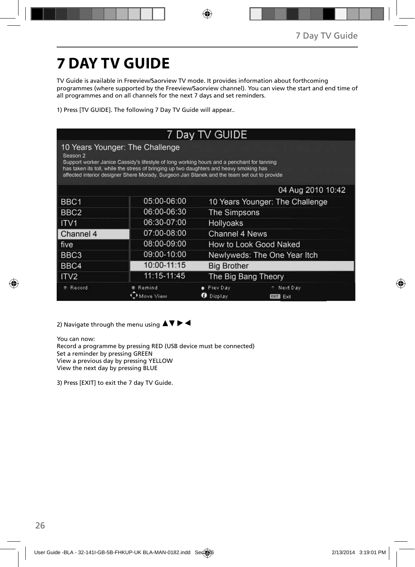# **7 DAY TV GUIDE**

TV Guide is available in Freeview/Saorview TV mode. It provides information about forthcoming programmes (where supported by the Freeview/Saorview channel). You can view the start and end time of all programmes and on all channels for the next 7 days and set reminders.

1) Press [TV GUIDE]. The following 7 Day TV Guide will appear..

|                     |                                                                                                                                                                                                                                                                                                                         | 7 Day TV GUIDE               |                                 |  |
|---------------------|-------------------------------------------------------------------------------------------------------------------------------------------------------------------------------------------------------------------------------------------------------------------------------------------------------------------------|------------------------------|---------------------------------|--|
| Season <sub>2</sub> | 10 Years Younger: The Challenge<br>Support worker Janice Cassidy's lifestyle of long working hours and a penchant for tanning<br>has taken its toll, while the stress of bringing up two daughters and heavy smoking has<br>affected interior designer Shere Morady. Surgeon Jan Stanek and the team set out to provide |                              |                                 |  |
|                     |                                                                                                                                                                                                                                                                                                                         |                              | 04 Aug 2010 10:42               |  |
| BBC1                | 05:00-06:00                                                                                                                                                                                                                                                                                                             |                              | 10 Years Younger: The Challenge |  |
| BBC <sub>2</sub>    | 06:00-06:30                                                                                                                                                                                                                                                                                                             | The Simpsons                 |                                 |  |
| ITV <sub>1</sub>    | 06:30-07:00                                                                                                                                                                                                                                                                                                             | Hollyoaks                    |                                 |  |
| l Channel 4         | 07:00-08:00                                                                                                                                                                                                                                                                                                             | Channel 4 News               |                                 |  |
| l five              | 08:00-09:00                                                                                                                                                                                                                                                                                                             |                              | How to Look Good Naked          |  |
| BBC3                | 09:00-10:00                                                                                                                                                                                                                                                                                                             |                              | Newlyweds: The One Year Itch    |  |
| BBC4                | 10:00-11:15                                                                                                                                                                                                                                                                                                             | <b>Big Brother</b>           |                                 |  |
| ITV <sub>2</sub>    | 11:15-11:45                                                                                                                                                                                                                                                                                                             | The Big Bang Theory          |                                 |  |
| Record              | Remind<br>love View                                                                                                                                                                                                                                                                                                     | Prev Day<br><b>D</b> Display | Next Day<br>Exit<br><b>EXIT</b> |  |

2) Navigate through the menu using  $\blacktriangle \blacktriangledown \blacktriangleright \blacktriangleleft$ 

You can now: Record a programme by pressing RED (USB device must be connected) Set a reminder by pressing GREEN View a previous day by pressing YELLOW View the next day by pressing BLUE

3) Press [EXIT] to exit the 7 day TV Guide.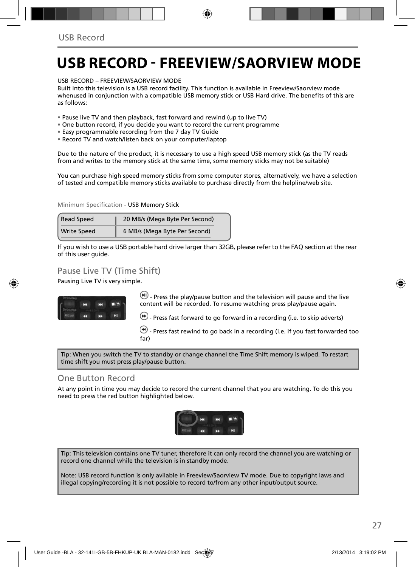### **USB RECORD - FREEVIEW/SAORVIEW MODE**

USB RECORD – FREEVIEW/SAORVIEW MODE

Built into this television is a USB record facility. This function is available in Freeview/Saorview mode whenused in conjunction with a compatible USB memory stick or USB Hard drive. The benefits of this are as follows:

- Pause live TV and then playback, fast forward and rewind (up to live TV)
- One button record, if you decide you want to record the current programme
- Easy programmable recording from the 7 day TV Guide
- Record TV and watch/listen back on your computer/laptop

Due to the nature of the product, it is necessary to use a high speed USB memory stick (as the TV reads from and writes to the memory stick at the same time, some memory sticks may not be suitable)

You can purchase high speed memory sticks from some computer stores, alternatively, we have a selection of tested and compatible memory sticks available to purchase directly from the helpline/web site.

Minimum Specification - USB Memory Stick

| <b>Read Speed</b>  | 20 MB/s (Mega Byte Per Second) |
|--------------------|--------------------------------|
| <b>Write Speed</b> | 6 MB/s (Mega Byte Per Second)  |

**If you wish to use a USB portable hard drive larger than 32GB, please refer to the FAQ section at the rear of this user guide.**

#### Pause Live TV (Time Shift)

Pausing Live TV is very simple.



 $\left(\mathbf{H}\right)$  - Press the play/pause button and the television will pause and the live content will be recorded. To resume watching press play/pause again.

 $\bigcirc$  - Press fast forward to go forward in a recording (i.e. to skip adverts)

 $\bigcirc$  - Press fast rewind to go back in a recording (i.e. if you fast forwarded too far)

Tip: When you switch the TV to standby or change channel the Time Shift memory is wiped. To restart time shift you must press play/pause button.

#### One Button Record

At any point in time you may decide to record the current channel that you are watching. To do this you need to press the red button highlighted below.



Tip: This television contains one TV tuner, therefore it can only record the channel you are watching or record one channel while the television is in standby mode.

Note: USB record function is only avilable in Freeview/Saorview TV mode. Due to copyright laws and illegal copying/recording it is not possible to record to/from any other input/output source.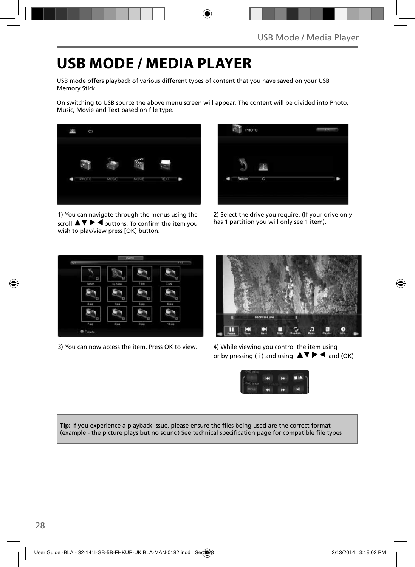### **USB MODE / MEDIA PLAYER**

USB mode offers playback of various different types of content that you have saved on your USB Memory Stick.

On switching to USB source the above menu screen will appear. The content will be divided into Photo, Music, Movie and Text based on file type.



1) You can navigate through the menus using the scroll  $\blacktriangle \blacktriangledown \blacktriangleright \blacktriangleleft$  buttons. To confirm the item you wish to play/view press [OK] button.



2) Select the drive you require. (If your drive only has 1 partition you will only see 1 item).



3) You can now access the item. Press OK to view. 4) While viewing you control the item using



or by pressing ( i ) and using  $\Delta \nabla \blacktriangleright \blacktriangleleft$  and (OK)



Tip: If you experience a playback issue, please ensure the files being used are the correct format (example - the picture plays but no sound) See technical specification page for compatible file types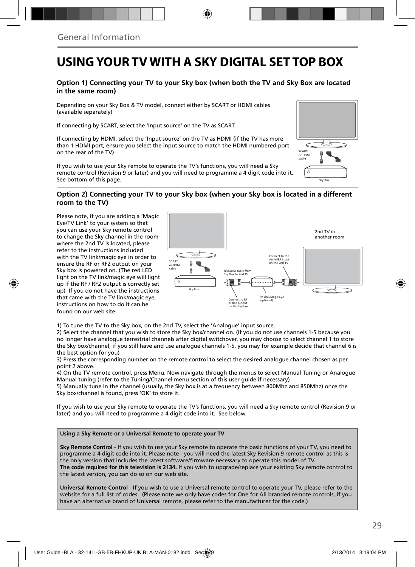### **USING YOUR TV WITH A SKY DIGITAL SET TOP BOX**

#### **Option 1) Connecting your TV to your Sky box (when both the TV and Sky Box are located in the same room)**

Depending on your Sky Box & TV model, connect either by SCART or HDMI cables (available separately)

If connecting by SCART, select the 'Input source' on the TV as SCART.

If connecting by HDMI, select the 'Input source' on the TV as HDMI (if the TV has more than 1 HDMI port, ensure you select the input source to match the HDMI numbered port on the rear of the TV)

If you wish to use your Sky remote to operate the TV's functions, you will need a Sky remote control (Revision 9 or later) and you will need to programme a 4 digit code into it. See bottom of this page.

# Sky Box SCART or HDMI cable

#### **Option 2) Connecting your TV to your Sky box (when your Sky box is located in a different room to the TV)**

Please note, if you are adding a 'Magic Eye/TV Link' to your system so that you can use your Sky remote control to change the Sky channel in the room where the 2nd TV is located, please refer to the instructions included with the TV link/magic eye in order to ensure the RF or RF2 output on your Sky box is powered on. (The red LED light on the TV link/magic eye will light up if the RF / RF2 output is correctly set up) If you do not have the instructions that came with the TV link/magic eye, instructions on how to do it can be found on our web site.



1) To tune the TV to the Sky box, on the 2nd TV, select the 'Analogue' input source.

2) Select the channel that you wish to store the Sky box/channel on. (If you do not use channels 1-5 because you no longer have analogue terrestrial channels after digital switchover, you may choose to select channel 1 to store the Sky box/channel, if you still have and use analogue channels 1-5, you may for example decide that channel 6 is the best option for you)

3) Press the corresponding number on the remote control to select the desired analogue channel chosen as per point 2 above.

4) On the TV remote control, press Menu. Now navigate through the menus to select Manual Tuning or Analogue Manual tuning (refer to the Tuning/Channel menu section of this user guide if necessary)

5) Manually tune in the channel (usually, the Sky box is at a frequency between 800Mhz and 850Mhz) once the Sky box/channel is found, press 'OK' to store it.

If you wish to use your Sky remote to operate the TV's functions, you will need a Sky remote control (Revision 9 or later) and you will need to programme a 4 digit code into it. See below.

#### **Using a Sky Remote or a Universal Remote to operate your TV**

**Sky Remote Control** - If you wish to use your Sky remote to operate the basic functions of your TV, you need to programme a 4 digit code into it. Please note - you will need the latest Sky Revision 9 remote control as this is the only version that includes the latest software/firmware necessary to operate this model of TV. **The code required for this television is 2134.** If you wish to upgrade/replace your existing Sky remote control to the latest version, you can do so on our web site.

**Universal Remote Control** - If you wish to use a Universal remote control to operate your TV, please refer to the website for a full list of codes. (Please note we only have codes for One for All branded remote controls, if you have an alternative brand of Universal remote, please refer to the manufacturer for the code.)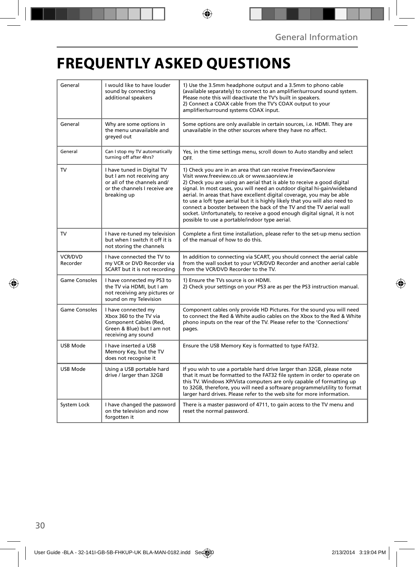## **FREQUENTLY ASKED QUESTIONS**

| General              | I would like to have louder<br>sound by connecting<br>additional speakers                                                               | 1) Use the 3.5mm headphone output and a 3.5mm to phono cable<br>(available separately) to connect to an amplifier/surround sound system.<br>Please note this will deactivate the TV's built in speakers.<br>2) Connect a COAX cable from the TV's COAX output to your<br>amplifier/surround systems COAX input.                                                                                                                                                                                                                                                                                                                      |  |  |
|----------------------|-----------------------------------------------------------------------------------------------------------------------------------------|--------------------------------------------------------------------------------------------------------------------------------------------------------------------------------------------------------------------------------------------------------------------------------------------------------------------------------------------------------------------------------------------------------------------------------------------------------------------------------------------------------------------------------------------------------------------------------------------------------------------------------------|--|--|
| General              | Why are some options in<br>the menu unavailable and<br>greyed out                                                                       | Some options are only available in certain sources, i.e. HDMI. They are<br>unavailable in the other sources where they have no affect.                                                                                                                                                                                                                                                                                                                                                                                                                                                                                               |  |  |
| General              | Can I stop my TV automatically<br>turning off after 4hrs?                                                                               | Yes, in the time settings menu, scroll down to Auto standby and select<br>OFF.                                                                                                                                                                                                                                                                                                                                                                                                                                                                                                                                                       |  |  |
| TV                   | I have tuned in Digital TV<br>but I am not receiving any<br>or all of the channels and/<br>or the channels I receive are<br>breaking up | 1) Check you are in an area that can receive Freeview/Saorview<br>Visit www.freeview.co.uk or www.saorview.ie<br>2) Check you are using an aerial that is able to receive a good digital<br>signal. In most cases, you will need an outdoor digital hi-gain/wideband<br>aerial. In areas that have excellent digital coverage, you may be able<br>to use a loft type aerial but it is highly likely that you will also need to<br>connect a booster between the back of the TV and the TV aerial wall<br>socket. Unfortunately, to receive a good enough digital signal, it is not<br>possible to use a portable/indoor type aerial. |  |  |
| TV                   | I have re-tuned my television<br>but when I switch it off it is<br>not storing the channels                                             | Complete a first time installation, please refer to the set-up menu section<br>of the manual of how to do this.                                                                                                                                                                                                                                                                                                                                                                                                                                                                                                                      |  |  |
| VCR/DVD<br>Recorder  | I have connected the TV to<br>my VCR or DVD Recorder via<br>SCART but it is not recording                                               | In addition to connecting via SCART, you should connect the aerial cable<br>from the wall socket to your VCR/DVD Recorder and another aerial cable<br>from the VCR/DVD Recorder to the TV.                                                                                                                                                                                                                                                                                                                                                                                                                                           |  |  |
| <b>Game Consoles</b> | I have connected my PS3 to<br>the TV via HDMI, but I am<br>not receiving any pictures or<br>sound on my Television                      | 1) Ensure the TVs source is on HDMI.<br>2) Check your settings on your PS3 are as per the PS3 instruction manual.                                                                                                                                                                                                                                                                                                                                                                                                                                                                                                                    |  |  |
| <b>Game Consoles</b> | I have connected my<br>Xbox 360 to the TV via<br>Component Cables (Red.<br>Green & Blue) but I am not<br>receiving any sound            | Component cables only provide HD Pictures. For the sound you will need<br>to connect the Red & White audio cables on the Xbox to the Red & White<br>phono inputs on the rear of the TV. Please refer to the 'Connections'<br>pages.                                                                                                                                                                                                                                                                                                                                                                                                  |  |  |
| USB Mode             | I have inserted a USB<br>Memory Key, but the TV<br>does not recognise it                                                                | Ensure the USB Memory Key is formatted to type FAT32.                                                                                                                                                                                                                                                                                                                                                                                                                                                                                                                                                                                |  |  |
| USB Mode             | Using a USB portable hard<br>drive / larger than 32GB                                                                                   | If you wish to use a portable hard drive larger than 32GB, please note<br>that it must be formatted to the FAT32 file system in order to operate on<br>this TV. Windows XP/Vista computers are only capable of formatting up<br>to 32GB, therefore, you will need a software programme/utility to format<br>larger hard drives. Please refer to the web site for more information.                                                                                                                                                                                                                                                   |  |  |
| System Lock          | I have changed the password<br>on the television and now<br>forgotten it                                                                | There is a master password of 4711, to gain access to the TV menu and<br>reset the normal password.                                                                                                                                                                                                                                                                                                                                                                                                                                                                                                                                  |  |  |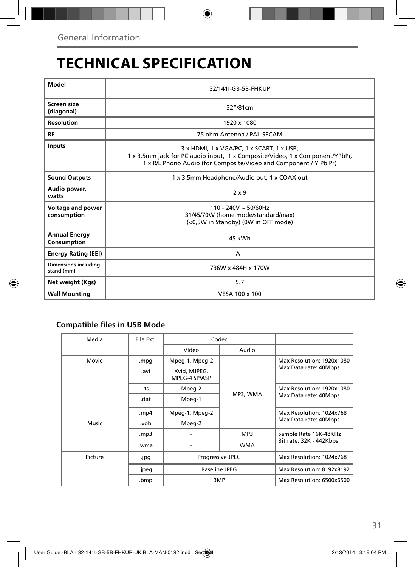## **TECHNICAL SPECIFICATION**

| Model                                     | 32/141I-GB-5B-FHKUP                                                                                                                                                                            |  |  |
|-------------------------------------------|------------------------------------------------------------------------------------------------------------------------------------------------------------------------------------------------|--|--|
| Screen size<br>(diagonal)                 | 32"/81cm                                                                                                                                                                                       |  |  |
| <b>Resolution</b>                         | 1920 x 1080                                                                                                                                                                                    |  |  |
| RF                                        | 75 ohm Antenna / PAL-SECAM                                                                                                                                                                     |  |  |
| <b>Inputs</b>                             | 3 x HDMI, 1 x VGA/PC, 1 x SCART, 1 x USB,<br>1 x 3.5mm jack for PC audio input, 1 x Composite/Video, 1 x Component/YPbPr,<br>1 x R/L Phono Audio (for Composite/Video and Component / Y Pb Pr) |  |  |
| <b>Sound Outputs</b>                      | 1 x 3.5mm Headphone/Audio out, 1 x COAX out                                                                                                                                                    |  |  |
| Audio power,<br>watts                     | $2 \times 9$                                                                                                                                                                                   |  |  |
| Voltage and power<br>consumption          | $110 - 240V \sim 50/60Hz$<br>31/45/70W (home mode/standard/max)<br>(<0,5W in Standby) (0W in OFF mode)                                                                                         |  |  |
| <b>Annual Energy</b><br>Consumption       | 45 kWh                                                                                                                                                                                         |  |  |
| <b>Energy Rating (EEI)</b>                | $A+$                                                                                                                                                                                           |  |  |
| <b>Dimensions including</b><br>stand (mm) | 736W x 484H x 170W                                                                                                                                                                             |  |  |
| Net weight (Kgs)                          | 5.7                                                                                                                                                                                            |  |  |
| <b>Wall Mounting</b>                      | VESA 100 x 100                                                                                                                                                                                 |  |  |

#### **Compatible files in USB Mode**

| File Ext. | Codec                         |            |                                                    |
|-----------|-------------------------------|------------|----------------------------------------------------|
|           | Video                         | Audio      |                                                    |
| .mpg      | Mpeg-1, Mpeg-2                | MP3, WMA   | Max Resolution: 1920x1080<br>Max Data rate: 40Mbps |
| .avi      | Xvid, MJPEG,<br>MPEG-4 SP/ASP |            |                                                    |
| .ts       | Mpeg-2                        |            | Max Resolution: 1920x1080<br>Max Data rate: 40Mbps |
| .dat      | Mpeg-1                        |            |                                                    |
| .mp4      | Mpeg-1, Mpeg-2                |            | Max Resolution: 1024x768<br>Max Data rate: 40Mbps  |
| .vob      | Mpeg-2                        |            |                                                    |
| mp3.      |                               | MP3        | Sample Rate 16K-48KHz                              |
| .wma      |                               | <b>WMA</b> | Bit rate: 32K - 442Kbps                            |
| .jpg      | <b>Progressive JPEG</b>       |            | Max Resolution: 1024x768                           |
| .jpeg     | <b>Baseline JPEG</b>          |            | Max Resolution: 8192x8192                          |
| .bmp      | <b>BMP</b>                    |            | Max Resolution: 6500x6500                          |
|           |                               |            |                                                    |